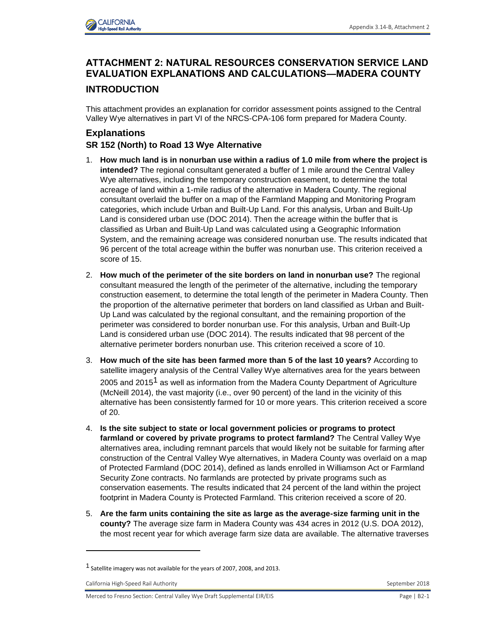

# **ATTACHMENT 2: NATURAL RESOURCES CONSERVATION SERVICE LAND EVALUATION EXPLANATIONS AND CALCULATIONS—MADERA COUNTY**

### **INTRODUCTION**

This attachment provides an explanation for corridor assessment points assigned to the Central Valley Wye alternatives in part VI of the NRCS-CPA-106 form prepared for Madera County.

## **Explanations**

### **SR 152 (North) to Road 13 Wye Alternative**

- 1. **How much land is in nonurban use within a radius of 1.0 mile from where the project is intended?** The regional consultant generated a buffer of 1 mile around the Central Valley Wye alternatives, including the temporary construction easement, to determine the total acreage of land within a 1-mile radius of the alternative in Madera County. The regional consultant overlaid the buffer on a map of the Farmland Mapping and Monitoring Program categories, which include Urban and Built-Up Land. For this analysis, Urban and Built-Up Land is considered urban use (DOC 2014). Then the acreage within the buffer that is classified as Urban and Built-Up Land was calculated using a Geographic Information System, and the remaining acreage was considered nonurban use. The results indicated that 96 percent of the total acreage within the buffer was nonurban use. This criterion received a score of 15.
- 2. **How much of the perimeter of the site borders on land in nonurban use?** The regional consultant measured the length of the perimeter of the alternative, including the temporary construction easement, to determine the total length of the perimeter in Madera County. Then the proportion of the alternative perimeter that borders on land classified as Urban and Built-Up Land was calculated by the regional consultant, and the remaining proportion of the perimeter was considered to border nonurban use. For this analysis, Urban and Built-Up Land is considered urban use (DOC 2014). The results indicated that 98 percent of the alternative perimeter borders nonurban use. This criterion received a score of 10.
- 3. **How much of the site has been farmed more than 5 of the last 10 years?** According to satellite imagery analysis of the Central Valley Wye alternatives area for the years between 2005 and 2015<sup>1</sup> as well as information from the Madera County Department of Agriculture (McNeill 2014), the vast majority (i.e., over 90 percent) of the land in the vicinity of this alternative has been consistently farmed for 10 or more years. This criterion received a score of 20.
- 4. **Is the site subject to state or local government policies or programs to protect farmland or covered by private programs to protect farmland?** The Central Valley Wye alternatives area, including remnant parcels that would likely not be suitable for farming after construction of the Central Valley Wye alternatives, in Madera County was overlaid on a map of Protected Farmland (DOC 2014), defined as lands enrolled in Williamson Act or Farmland Security Zone contracts. No farmlands are protected by private programs such as conservation easements. The results indicated that 24 percent of the land within the project footprint in Madera County is Protected Farmland. This criterion received a score of 20.
- 5. **Are the farm units containing the site as large as the average-size farming unit in the county?** The average size farm in Madera County was 434 acres in 2012 (U.S. DOA 2012), the most recent year for which average farm size data are available. The alternative traverses

California High-Speed Rail Authority September 2018

<sup>1</sup> Satellite imagery was not available for the years of 2007, 2008, and 2013.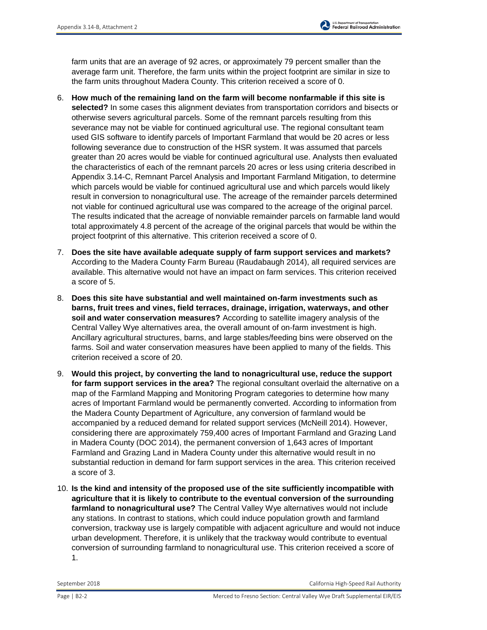farm units that are an average of 92 acres, or approximately 79 percent smaller than the average farm unit. Therefore, the farm units within the project footprint are similar in size to the farm units throughout Madera County. This criterion received a score of 0.

- 6. **How much of the remaining land on the farm will become nonfarmable if this site is selected?** In some cases this alignment deviates from transportation corridors and bisects or otherwise severs agricultural parcels. Some of the remnant parcels resulting from this severance may not be viable for continued agricultural use. The regional consultant team used GIS software to identify parcels of Important Farmland that would be 20 acres or less following severance due to construction of the HSR system. It was assumed that parcels greater than 20 acres would be viable for continued agricultural use. Analysts then evaluated the characteristics of each of the remnant parcels 20 acres or less using criteria described in Appendix 3.14-C, Remnant Parcel Analysis and Important Farmland Mitigation, to determine which parcels would be viable for continued agricultural use and which parcels would likely result in conversion to nonagricultural use. The acreage of the remainder parcels determined not viable for continued agricultural use was compared to the acreage of the original parcel. The results indicated that the acreage of nonviable remainder parcels on farmable land would total approximately 4.8 percent of the acreage of the original parcels that would be within the project footprint of this alternative. This criterion received a score of 0.
- 7. **Does the site have available adequate supply of farm support services and markets?** According to the Madera County Farm Bureau (Raudabaugh 2014), all required services are available. This alternative would not have an impact on farm services. This criterion received a score of 5.
- 8. **Does this site have substantial and well maintained on-farm investments such as barns, fruit trees and vines, field terraces, drainage, irrigation, waterways, and other soil and water conservation measures?** According to satellite imagery analysis of the Central Valley Wye alternatives area, the overall amount of on-farm investment is high. Ancillary agricultural structures, barns, and large stables/feeding bins were observed on the farms. Soil and water conservation measures have been applied to many of the fields. This criterion received a score of 20.
- 9. **Would this project, by converting the land to nonagricultural use, reduce the support for farm support services in the area?** The regional consultant overlaid the alternative on a map of the Farmland Mapping and Monitoring Program categories to determine how many acres of Important Farmland would be permanently converted. According to information from the Madera County Department of Agriculture, any conversion of farmland would be accompanied by a reduced demand for related support services (McNeill 2014). However, considering there are approximately 759,400 acres of Important Farmland and Grazing Land in Madera County (DOC 2014), the permanent conversion of 1,643 acres of Important Farmland and Grazing Land in Madera County under this alternative would result in no substantial reduction in demand for farm support services in the area. This criterion received a score of 3.
- 10. **Is the kind and intensity of the proposed use of the site sufficiently incompatible with agriculture that it is likely to contribute to the eventual conversion of the surrounding farmland to nonagricultural use?** The Central Valley Wye alternatives would not include any stations. In contrast to stations, which could induce population growth and farmland conversion, trackway use is largely compatible with adjacent agriculture and would not induce urban development. Therefore, it is unlikely that the trackway would contribute to eventual conversion of surrounding farmland to nonagricultural use. This criterion received a score of 1.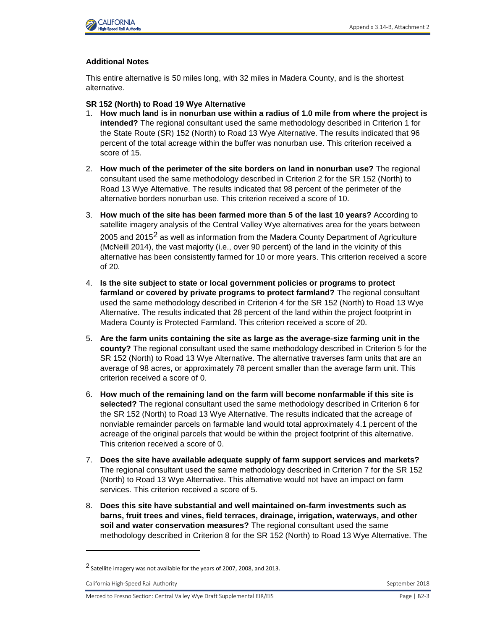

#### **Additional Notes**

This entire alternative is 50 miles long, with 32 miles in Madera County, and is the shortest alternative.

- **SR 152 (North) to Road 19 Wye Alternative**
- 1. **How much land is in nonurban use within a radius of 1.0 mile from where the project is intended?** The regional consultant used the same methodology described in Criterion 1 for the State Route (SR) 152 (North) to Road 13 Wye Alternative. The results indicated that 96 percent of the total acreage within the buffer was nonurban use. This criterion received a score of 15.
- 2. **How much of the perimeter of the site borders on land in nonurban use?** The regional consultant used the same methodology described in Criterion 2 for the SR 152 (North) to Road 13 Wye Alternative. The results indicated that 98 percent of the perimeter of the alternative borders nonurban use. This criterion received a score of 10.
- 3. **How much of the site has been farmed more than 5 of the last 10 years?** According to satellite imagery analysis of the Central Valley Wye alternatives area for the years between 2005 and 2015<sup>2</sup> as well as information from the Madera County Department of Agriculture (McNeill 2014), the vast majority (i.e., over 90 percent) of the land in the vicinity of this alternative has been consistently farmed for 10 or more years. This criterion received a score of 20.
- 4. **Is the site subject to state or local government policies or programs to protect farmland or covered by private programs to protect farmland?** The regional consultant used the same methodology described in Criterion 4 for the SR 152 (North) to Road 13 Wye Alternative. The results indicated that 28 percent of the land within the project footprint in Madera County is Protected Farmland. This criterion received a score of 20.
- 5. **Are the farm units containing the site as large as the average-size farming unit in the county?** The regional consultant used the same methodology described in Criterion 5 for the SR 152 (North) to Road 13 Wye Alternative. The alternative traverses farm units that are an average of 98 acres, or approximately 78 percent smaller than the average farm unit. This criterion received a score of 0.
- 6. **How much of the remaining land on the farm will become nonfarmable if this site is selected?** The regional consultant used the same methodology described in Criterion 6 for the SR 152 (North) to Road 13 Wye Alternative. The results indicated that the acreage of nonviable remainder parcels on farmable land would total approximately 4.1 percent of the acreage of the original parcels that would be within the project footprint of this alternative. This criterion received a score of 0.
- 7. **Does the site have available adequate supply of farm support services and markets?** The regional consultant used the same methodology described in Criterion 7 for the SR 152 (North) to Road 13 Wye Alternative. This alternative would not have an impact on farm services. This criterion received a score of 5.
- 8. **Does this site have substantial and well maintained on-farm investments such as barns, fruit trees and vines, field terraces, drainage, irrigation, waterways, and other soil and water conservation measures?** The regional consultant used the same methodology described in Criterion 8 for the SR 152 (North) to Road 13 Wye Alternative. The

California High-Speed Rail Authority **September 2018** September 2018

<sup>2</sup> Satellite imagery was not available for the years of 2007, 2008, and 2013.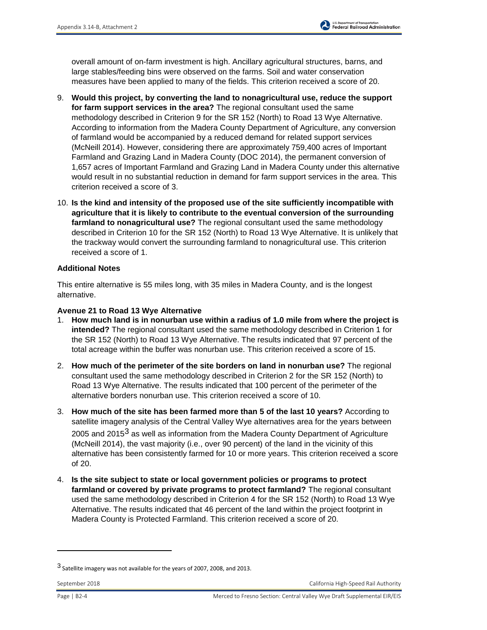

overall amount of on-farm investment is high. Ancillary agricultural structures, barns, and large stables/feeding bins were observed on the farms. Soil and water conservation measures have been applied to many of the fields. This criterion received a score of 20.

- 9. **Would this project, by converting the land to nonagricultural use, reduce the support for farm support services in the area?** The regional consultant used the same methodology described in Criterion 9 for the SR 152 (North) to Road 13 Wye Alternative. According to information from the Madera County Department of Agriculture, any conversion of farmland would be accompanied by a reduced demand for related support services (McNeill 2014). However, considering there are approximately 759,400 acres of Important Farmland and Grazing Land in Madera County (DOC 2014), the permanent conversion of 1,657 acres of Important Farmland and Grazing Land in Madera County under this alternative would result in no substantial reduction in demand for farm support services in the area. This criterion received a score of 3.
- 10. **Is the kind and intensity of the proposed use of the site sufficiently incompatible with agriculture that it is likely to contribute to the eventual conversion of the surrounding farmland to nonagricultural use?** The regional consultant used the same methodology described in Criterion 10 for the SR 152 (North) to Road 13 Wye Alternative. It is unlikely that the trackway would convert the surrounding farmland to nonagricultural use. This criterion received a score of 1.

#### **Additional Notes**

This entire alternative is 55 miles long, with 35 miles in Madera County, and is the longest alternative.

#### **Avenue 21 to Road 13 Wye Alternative**

- 1. **How much land is in nonurban use within a radius of 1.0 mile from where the project is intended?** The regional consultant used the same methodology described in Criterion 1 for the SR 152 (North) to Road 13 Wye Alternative. The results indicated that 97 percent of the total acreage within the buffer was nonurban use. This criterion received a score of 15.
- 2. **How much of the perimeter of the site borders on land in nonurban use?** The regional consultant used the same methodology described in Criterion 2 for the SR 152 (North) to Road 13 Wye Alternative. The results indicated that 100 percent of the perimeter of the alternative borders nonurban use. This criterion received a score of 10.
- 3. **How much of the site has been farmed more than 5 of the last 10 years?** According to satellite imagery analysis of the Central Valley Wye alternatives area for the years between 2005 and 2015<sup>3</sup> as well as information from the Madera County Department of Agriculture (McNeill 2014), the vast majority (i.e., over 90 percent) of the land in the vicinity of this alternative has been consistently farmed for 10 or more years. This criterion received a score of 20.
- 4. **Is the site subject to state or local government policies or programs to protect farmland or covered by private programs to protect farmland?** The regional consultant used the same methodology described in Criterion 4 for the SR 152 (North) to Road 13 Wye Alternative. The results indicated that 46 percent of the land within the project footprint in Madera County is Protected Farmland. This criterion received a score of 20.

<sup>3</sup> Satellite imagery was not available for the years of 2007, 2008, and 2013.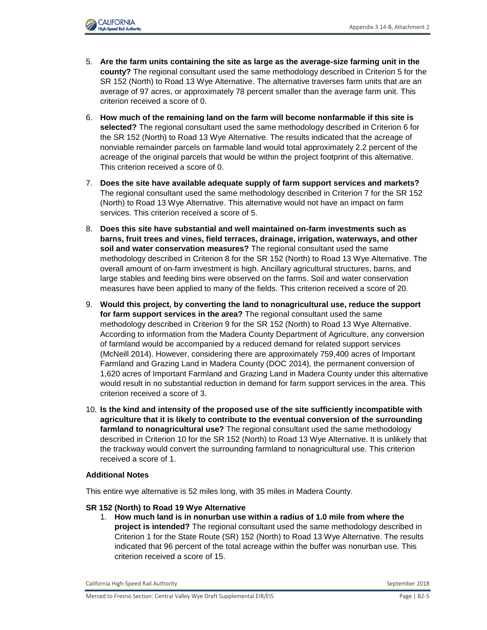

- 5. **Are the farm units containing the site as large as the average-size farming unit in the county?** The regional consultant used the same methodology described in Criterion 5 for the SR 152 (North) to Road 13 Wye Alternative. The alternative traverses farm units that are an average of 97 acres, or approximately 78 percent smaller than the average farm unit. This criterion received a score of 0.
- 6. **How much of the remaining land on the farm will become nonfarmable if this site is selected?** The regional consultant used the same methodology described in Criterion 6 for the SR 152 (North) to Road 13 Wye Alternative. The results indicated that the acreage of nonviable remainder parcels on farmable land would total approximately 2.2 percent of the acreage of the original parcels that would be within the project footprint of this alternative. This criterion received a score of 0.
- 7. **Does the site have available adequate supply of farm support services and markets?** The regional consultant used the same methodology described in Criterion 7 for the SR 152 (North) to Road 13 Wye Alternative. This alternative would not have an impact on farm services. This criterion received a score of 5.
- 8. **Does this site have substantial and well maintained on-farm investments such as barns, fruit trees and vines, field terraces, drainage, irrigation, waterways, and other soil and water conservation measures?** The regional consultant used the same methodology described in Criterion 8 for the SR 152 (North) to Road 13 Wye Alternative. The overall amount of on-farm investment is high. Ancillary agricultural structures, barns, and large stables and feeding bins were observed on the farms. Soil and water conservation measures have been applied to many of the fields. This criterion received a score of 20.
- 9. **Would this project, by converting the land to nonagricultural use, reduce the support for farm support services in the area?** The regional consultant used the same methodology described in Criterion 9 for the SR 152 (North) to Road 13 Wye Alternative. According to information from the Madera County Department of Agriculture, any conversion of farmland would be accompanied by a reduced demand for related support services (McNeill 2014). However, considering there are approximately 759,400 acres of Important Farmland and Grazing Land in Madera County (DOC 2014), the permanent conversion of 1,620 acres of Important Farmland and Grazing Land in Madera County under this alternative would result in no substantial reduction in demand for farm support services in the area. This criterion received a score of 3.
- 10. **Is the kind and intensity of the proposed use of the site sufficiently incompatible with agriculture that it is likely to contribute to the eventual conversion of the surrounding farmland to nonagricultural use?** The regional consultant used the same methodology described in Criterion 10 for the SR 152 (North) to Road 13 Wye Alternative. It is unlikely that the trackway would convert the surrounding farmland to nonagricultural use. This criterion received a score of 1.

#### **Additional Notes**

This entire wye alternative is 52 miles long, with 35 miles in Madera County.

#### **SR 152 (North) to Road 19 Wye Alternative**

1. **How much land is in nonurban use within a radius of 1.0 mile from where the project is intended?** The regional consultant used the same methodology described in Criterion 1 for the State Route (SR) 152 (North) to Road 13 Wye Alternative. The results indicated that 96 percent of the total acreage within the buffer was nonurban use. This criterion received a score of 15.

California High-Speed Rail Authority September 2018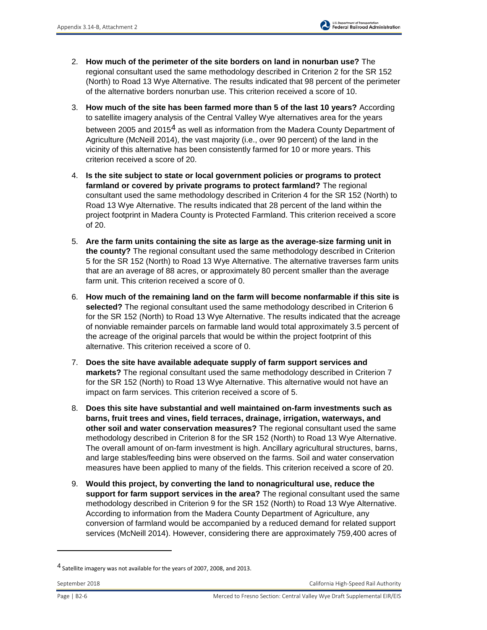- 2. **How much of the perimeter of the site borders on land in nonurban use?** The regional consultant used the same methodology described in Criterion 2 for the SR 152 (North) to Road 13 Wye Alternative. The results indicated that 98 percent of the perimeter of the alternative borders nonurban use. This criterion received a score of 10.
- 3. **How much of the site has been farmed more than 5 of the last 10 years?** According to satellite imagery analysis of the Central Valley Wye alternatives area for the years between 2005 and 2015<sup>4</sup> as well as information from the Madera County Department of Agriculture (McNeill 2014), the vast majority (i.e., over 90 percent) of the land in the vicinity of this alternative has been consistently farmed for 10 or more years. This criterion received a score of 20.
- 4. **Is the site subject to state or local government policies or programs to protect farmland or covered by private programs to protect farmland?** The regional consultant used the same methodology described in Criterion 4 for the SR 152 (North) to Road 13 Wye Alternative. The results indicated that 28 percent of the land within the project footprint in Madera County is Protected Farmland. This criterion received a score of 20.
- 5. **Are the farm units containing the site as large as the average-size farming unit in the county?** The regional consultant used the same methodology described in Criterion 5 for the SR 152 (North) to Road 13 Wye Alternative. The alternative traverses farm units that are an average of 88 acres, or approximately 80 percent smaller than the average farm unit. This criterion received a score of 0.
- 6. **How much of the remaining land on the farm will become nonfarmable if this site is selected?** The regional consultant used the same methodology described in Criterion 6 for the SR 152 (North) to Road 13 Wye Alternative. The results indicated that the acreage of nonviable remainder parcels on farmable land would total approximately 3.5 percent of the acreage of the original parcels that would be within the project footprint of this alternative. This criterion received a score of 0.
- 7. **Does the site have available adequate supply of farm support services and markets?** The regional consultant used the same methodology described in Criterion 7 for the SR 152 (North) to Road 13 Wye Alternative. This alternative would not have an impact on farm services. This criterion received a score of 5.
- 8. **Does this site have substantial and well maintained on-farm investments such as barns, fruit trees and vines, field terraces, drainage, irrigation, waterways, and other soil and water conservation measures?** The regional consultant used the same methodology described in Criterion 8 for the SR 152 (North) to Road 13 Wye Alternative. The overall amount of on-farm investment is high. Ancillary agricultural structures, barns, and large stables/feeding bins were observed on the farms. Soil and water conservation measures have been applied to many of the fields. This criterion received a score of 20.
- 9. **Would this project, by converting the land to nonagricultural use, reduce the support for farm support services in the area?** The regional consultant used the same methodology described in Criterion 9 for the SR 152 (North) to Road 13 Wye Alternative. According to information from the Madera County Department of Agriculture, any conversion of farmland would be accompanied by a reduced demand for related support services (McNeill 2014). However, considering there are approximately 759,400 acres of

<sup>&</sup>lt;sup>4</sup> Satellite imagery was not available for the years of 2007, 2008, and 2013.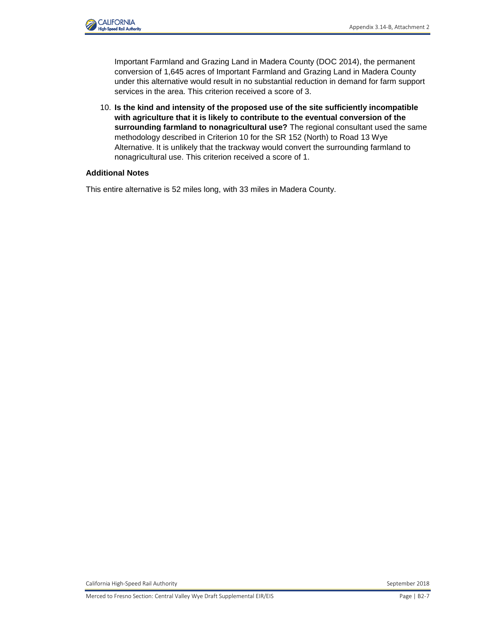

Important Farmland and Grazing Land in Madera County (DOC 2014), the permanent conversion of 1,645 acres of Important Farmland and Grazing Land in Madera County under this alternative would result in no substantial reduction in demand for farm support services in the area. This criterion received a score of 3.

10. **Is the kind and intensity of the proposed use of the site sufficiently incompatible with agriculture that it is likely to contribute to the eventual conversion of the surrounding farmland to nonagricultural use?** The regional consultant used the same methodology described in Criterion 10 for the SR 152 (North) to Road 13 Wye Alternative. It is unlikely that the trackway would convert the surrounding farmland to nonagricultural use. This criterion received a score of 1.

#### **Additional Notes**

This entire alternative is 52 miles long, with 33 miles in Madera County.

California High-Speed Rail Authority **September 2018** September 2018